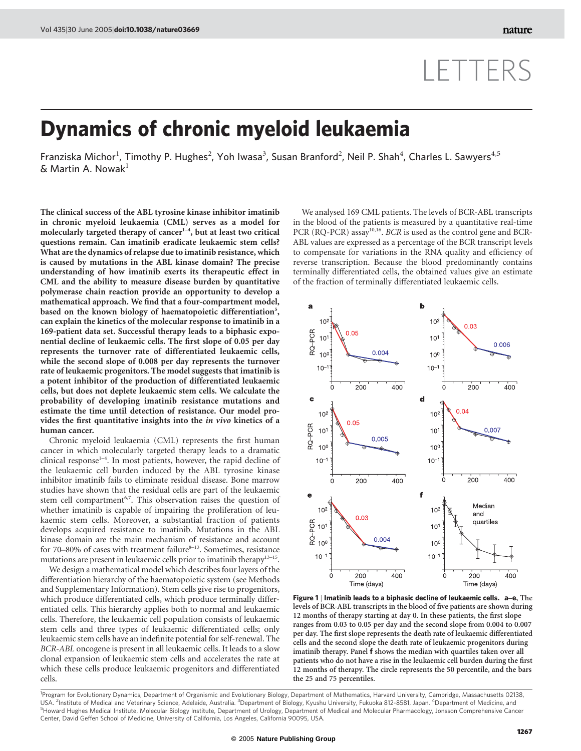## LETTERS

## Dynamics of chronic myeloid leukaemia

Franziska Michor<sup>1</sup>, Timothy P. Hughes<sup>2</sup>, Yoh Iwasa<sup>3</sup>, Susan Branford<sup>2</sup>, Neil P. Shah<sup>4</sup>, Charles L. Sawyers<sup>4,5</sup>  $&$  Martin A. Nowak<sup>1</sup>

The clinical success of the ABL tyrosine kinase inhibitor imatinib in chronic myeloid leukaemia (CML) serves as a model for molecularly targeted therapy of cancer<sup>1-4</sup>, but at least two critical questions remain. Can imatinib eradicate leukaemic stem cells? What are the dynamics of relapse due to imatinib resistance, which is caused by mutations in the ABL kinase domain? The precise understanding of how imatinib exerts its therapeutic effect in CML and the ability to measure disease burden by quantitative polymerase chain reaction provide an opportunity to develop a mathematical approach. We find that a four-compartment model, based on the known biology of haematopoietic differentiation<sup>5</sup>, can explain the kinetics of the molecular response to imatinib in a 169-patient data set. Successful therapy leads to a biphasic exponential decline of leukaemic cells. The first slope of 0.05 per day represents the turnover rate of differentiated leukaemic cells, while the second slope of 0.008 per day represents the turnover rate of leukaemic progenitors. The model suggests that imatinib is a potent inhibitor of the production of differentiated leukaemic cells, but does not deplete leukaemic stem cells. We calculate the probability of developing imatinib resistance mutations and estimate the time until detection of resistance. Our model provides the first quantitative insights into the in vivo kinetics of a human cancer.

Chronic myeloid leukaemia (CML) represents the first human cancer in which molecularly targeted therapy leads to a dramatic clinical response<sup> $1-4$ </sup>. In most patients, however, the rapid decline of the leukaemic cell burden induced by the ABL tyrosine kinase inhibitor imatinib fails to eliminate residual disease. Bone marrow studies have shown that the residual cells are part of the leukaemic stem cell compartment<sup>6,7</sup>. This observation raises the question of whether imatinib is capable of impairing the proliferation of leukaemic stem cells. Moreover, a substantial fraction of patients develops acquired resistance to imatinib. Mutations in the ABL kinase domain are the main mechanism of resistance and account for 70–80% of cases with treatment failure $8-13$ . Sometimes, resistance mutations are present in leukaemic cells prior to imatinib therapy<sup>13-15</sup>.

We design a mathematical model which describes four layers of the differentiation hierarchy of the haematopoietic system (see Methods and Supplementary Information). Stem cells give rise to progenitors, which produce differentiated cells, which produce terminally differentiated cells. This hierarchy applies both to normal and leukaemic cells. Therefore, the leukaemic cell population consists of leukaemic stem cells and three types of leukaemic differentiated cells; only leukaemic stem cells have an indefinite potential for self-renewal. The BCR-ABL oncogene is present in all leukaemic cells. It leads to a slow clonal expansion of leukaemic stem cells and accelerates the rate at which these cells produce leukaemic progenitors and differentiated cells.

We analysed 169 CML patients. The levels of BCR-ABL transcripts in the blood of the patients is measured by a quantitative real-time PCR (RQ-PCR) assay<sup>10,16</sup>. BCR is used as the control gene and BCR-ABL values are expressed as a percentage of the BCR transcript levels to compensate for variations in the RNA quality and efficiency of reverse transcription. Because the blood predominantly contains terminally differentiated cells, the obtained values give an estimate of the fraction of terminally differentiated leukaemic cells.



Figure 1 | Imatinib leads to a biphasic decline of leukaemic cells. a-e, The levels of BCR-ABL transcripts in the blood of five patients are shown during 12 months of therapy starting at day 0. In these patients, the first slope ranges from 0.03 to 0.05 per day and the second slope from 0.004 to 0.007 per day. The first slope represents the death rate of leukaemic differentiated cells and the second slope the death rate of leukaemic progenitors during imatinib therapy. Panel f shows the median with quartiles taken over all patients who do not have a rise in the leukaemic cell burden during the first 12 months of therapy. The circle represents the 50 percentile, and the bars the 25 and 75 percentiles.

<sup>1</sup>Program for Evolutionary Dynamics, Department of Organismic and Evolutionary Biology, Department of Mathematics, Harvard University, Cambridge, Massachusetts 02138, USA. <sup>2</sup>Institute of Medical and Veterinary Science, Adelaide, Australia. <sup>3</sup>Department of Biology, Kyushu University, Fukuoka 812-8581, Japan. <sup>4</sup>Department of Medicine, and<br><sup>5</sup>Hourard Hugher Medical Institute, Melocular <sup>5</sup>Howard Hughes Medical Institute, Molecular Biology Institute, Department of Urology, Department of Medical and Molecular Pharmacology, Jonsson Comprehensive Cancer Center, David Geffen School of Medicine, University of California, Los Angeles, California 90095, USA.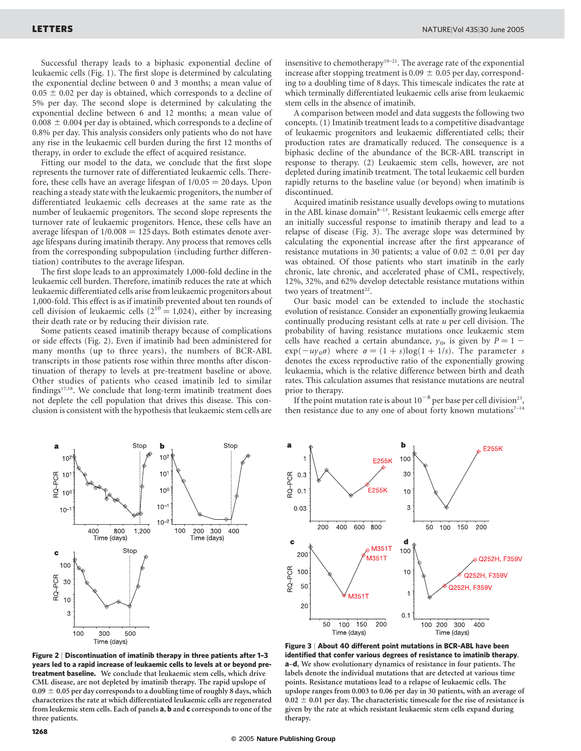Successful therapy leads to a biphasic exponential decline of leukaemic cells (Fig. 1). The first slope is determined by calculating the exponential decline between 0 and 3 months; a mean value of 0.05  $\pm$  0.02 per day is obtained, which corresponds to a decline of 5% per day. The second slope is determined by calculating the exponential decline between 6 and 12 months; a mean value of  $0.008 \pm 0.004$  per day is obtained, which corresponds to a decline of 0.8% per day. This analysis considers only patients who do not have any rise in the leukaemic cell burden during the first 12 months of therapy, in order to exclude the effect of acquired resistance.

Fitting our model to the data, we conclude that the first slope represents the turnover rate of differentiated leukaemic cells. Therefore, these cells have an average lifespan of  $1/0.05 = 20$  days. Upon reaching a steady state with the leukaemic progenitors, the number of differentiated leukaemic cells decreases at the same rate as the number of leukaemic progenitors. The second slope represents the turnover rate of leukaemic progenitors. Hence, these cells have an average lifespan of  $1/0.008 = 125$  days. Both estimates denote average lifespans during imatinib therapy. Any process that removes cells from the corresponding subpopulation (including further differentiation) contributes to the average lifespan.

The first slope leads to an approximately 1,000-fold decline in the leukaemic cell burden. Therefore, imatinib reduces the rate at which leukaemic differentiated cells arise from leukaemic progenitors about 1,000-fold. This effect is as if imatinib prevented about ten rounds of cell division of leukaemic cells ( $2^{10} = 1,024$ ), either by increasing their death rate or by reducing their division rate.

Some patients ceased imatinib therapy because of complications or side effects (Fig. 2). Even if imatinib had been administered for many months (up to three years), the numbers of BCR-ABL transcripts in those patients rose within three months after discontinuation of therapy to levels at pre-treatment baseline or above. Other studies of patients who ceased imatinib led to similar findings<sup>17,18</sup>. We conclude that long-term imatinib treatment does not deplete the cell population that drives this disease. This conclusion is consistent with the hypothesis that leukaemic stem cells are insensitive to chemotherapy<sup>19-21</sup>. The average rate of the exponential increase after stopping treatment is 0.09  $\pm$  0.05 per day, corresponding to a doubling time of 8 days. This timescale indicates the rate at which terminally differentiated leukaemic cells arise from leukaemic stem cells in the absence of imatinib.

A comparison between model and data suggests the following two concepts. (1) Imatinib treatment leads to a competitive disadvantage of leukaemic progenitors and leukaemic differentiated cells; their production rates are dramatically reduced. The consequence is a biphasic decline of the abundance of the BCR-ABL transcript in response to therapy. (2) Leukaemic stem cells, however, are not depleted during imatinib treatment. The total leukaemic cell burden rapidly returns to the baseline value (or beyond) when imatinib is discontinued.

Acquired imatinib resistance usually develops owing to mutations in the ABL kinase domain $8-13$ . Resistant leukaemic cells emerge after an initially successful response to imatinib therapy and lead to a relapse of disease (Fig. 3). The average slope was determined by calculating the exponential increase after the first appearance of resistance mutations in 30 patients; a value of  $0.02 \pm 0.01$  per day was obtained. Of those patients who start imatinib in the early chronic, late chronic, and accelerated phase of CML, respectively, 12%, 32%, and 62% develop detectable resistance mutations within two years of treatment $22$ .

Our basic model can be extended to include the stochastic evolution of resistance. Consider an exponentially growing leukaemia continually producing resistant cells at rate u per cell division. The probability of having resistance mutations once leukaemic stem cells have reached a certain abundance,  $y_0$ , is given by  $P = 1$  $exp(-uy_0\sigma)$  where  $\sigma = (1 + s)log(1 + 1/s)$ . The parameter s denotes the excess reproductive ratio of the exponentially growing leukaemia, which is the relative difference between birth and death rates. This calculation assumes that resistance mutations are neutral prior to therapy.

If the point mutation rate is about  $10^{-8}$  per base per cell division<sup>23</sup> then resistance due to any one of about forty known mutations<sup> $7-14$ </sup>



Figure 2 | Discontinuation of imatinib therapy in three patients after 1–3 years led to a rapid increase of leukaemic cells to levels at or beyond pretreatment baseline. We conclude that leukaemic stem cells, which drive CML disease, are not depleted by imatinib therapy. The rapid upslope of  $0.09 \pm 0.05$  per day corresponds to a doubling time of roughly 8 days, which characterizes the rate at which differentiated leukaemic cells are regenerated from leukemic stem cells. Each of panels **a**, **b** and **c** corresponds to one of the three patients.



Figure 3 | About 40 different point mutations in BCR-ABL have been identified that confer various degrees of resistance to imatinib therapy. a–d, We show evolutionary dynamics of resistance in four patients. The labels denote the individual mutations that are detected at various time points. Resistance mutations lead to a relapse of leukaemic cells. The upslope ranges from 0.003 to 0.06 per day in 30 patients, with an average of  $0.02 \pm 0.01$  per day. The characteristic timescale for the rise of resistance is given by the rate at which resistant leukaemic stem cells expand during therapy.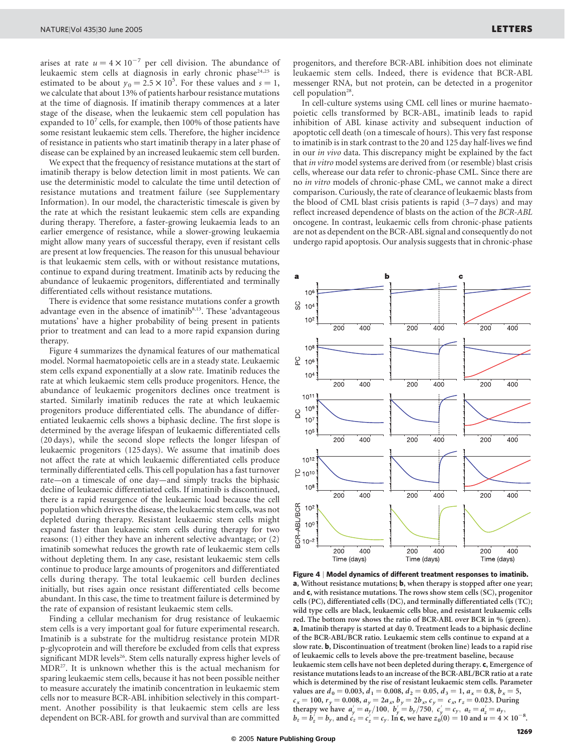arises at rate  $u = 4 \times 10^{-7}$  per cell division. The abundance of leukaemic stem cells at diagnosis in early chronic phase<sup>24,25</sup> is estimated to be about  $y_0 = 2.5 \times 10^5$ . For these values and  $s = 1$ , we calculate that about 13% of patients harbour resistance mutations at the time of diagnosis. If imatinib therapy commences at a later stage of the disease, when the leukaemic stem cell population has expanded to  $10<sup>7</sup>$  cells, for example, then 100% of those patients have some resistant leukaemic stem cells. Therefore, the higher incidence of resistance in patients who start imatinib therapy in a later phase of disease can be explained by an increased leukaemic stem cell burden.

We expect that the frequency of resistance mutations at the start of imatinib therapy is below detection limit in most patients. We can use the deterministic model to calculate the time until detection of resistance mutations and treatment failure (see Supplementary Information). In our model, the characteristic timescale is given by the rate at which the resistant leukaemic stem cells are expanding during therapy. Therefore, a faster-growing leukaemia leads to an earlier emergence of resistance, while a slower-growing leukaemia might allow many years of successful therapy, even if resistant cells are present at low frequencies. The reason for this unusual behaviour is that leukaemic stem cells, with or without resistance mutations, continue to expand during treatment. Imatinib acts by reducing the abundance of leukaemic progenitors, differentiated and terminally differentiated cells without resistance mutations.

There is evidence that some resistance mutations confer a growth advantage even in the absence of imatinib<sup>8,13</sup>. These 'advantageous mutations' have a higher probability of being present in patients prior to treatment and can lead to a more rapid expansion during therapy.

Figure 4 summarizes the dynamical features of our mathematical model. Normal haematopoietic cells are in a steady state. Leukaemic stem cells expand exponentially at a slow rate. Imatinib reduces the rate at which leukaemic stem cells produce progenitors. Hence, the abundance of leukaemic progenitors declines once treatment is started. Similarly imatinib reduces the rate at which leukaemic progenitors produce differentiated cells. The abundance of differentiated leukaemic cells shows a biphasic decline. The first slope is determined by the average lifespan of leukaemic differentiated cells (20 days), while the second slope reflects the longer lifespan of leukaemic progenitors (125 days). We assume that imatinib does not affect the rate at which leukaemic differentiated cells produce terminally differentiated cells. This cell population has a fast turnover rate—on a timescale of one day—and simply tracks the biphasic decline of leukaemic differentiated cells. If imatinib is discontinued, there is a rapid resurgence of the leukaemic load because the cell population which drives the disease, the leukaemic stem cells, was not depleted during therapy. Resistant leukaemic stem cells might expand faster than leukaemic stem cells during therapy for two reasons: (1) either they have an inherent selective advantage; or (2) imatinib somewhat reduces the growth rate of leukaemic stem cells without depleting them. In any case, resistant leukaemic stem cells continue to produce large amounts of progenitors and differentiated cells during therapy. The total leukaemic cell burden declines initially, but rises again once resistant differentiated cells become abundant. In this case, the time to treatment failure is determined by the rate of expansion of resistant leukaemic stem cells.

Finding a cellular mechanism for drug resistance of leukaemic stem cells is a very important goal for future experimental research. Imatinib is a substrate for the multidrug resistance protein MDR p-glycoprotein and will therefore be excluded from cells that express significant MDR levels<sup>26</sup>. Stem cells naturally express higher levels of MDR27. It is unknown whether this is the actual mechanism for sparing leukaemic stem cells, because it has not been possible neither to measure accurately the imatinib concentration in leukaemic stem cells nor to measure BCR-ABL inhibition selectively in this compartment. Another possibility is that leukaemic stem cells are less dependent on BCR-ABL for growth and survival than are committed

progenitors, and therefore BCR-ABL inhibition does not eliminate leukaemic stem cells. Indeed, there is evidence that BCR-ABL messenger RNA, but not protein, can be detected in a progenitor cell population<sup>28</sup>.

In cell-culture systems using CML cell lines or murine haematopoietic cells transformed by BCR-ABL, imatinib leads to rapid inhibition of ABL kinase activity and subsequent induction of apoptotic cell death (on a timescale of hours). This very fast response to imatinib is in stark contrast to the 20 and 125 day half-lives we find in our in vivo data. This discrepancy might be explained by the fact that in vitro model systems are derived from (or resemble) blast crisis cells, wherease our data refer to chronic-phase CML. Since there are no in vitro models of chronic-phase CML, we cannot make a direct comparison. Curiously, the rate of clearance of leukaemic blasts from the blood of CML blast crisis patients is rapid (3–7 days) and may reflect increased dependence of blasts on the action of the BCR-ABL oncogene. In contrast, leukaemic cells from chronic-phase patients are not as dependent on the BCR-ABL signal and consequently do not undergo rapid apoptosis. Our analysis suggests that in chronic-phase



Figure 4 | Model dynamics of different treatment responses to imatinib. a, Without resistance mutations; **b**, when therapy is stopped after one year; and c, with resistance mutations. The rows show stem cells (SC), progenitor cells (PC), differentiated cells (DC), and terminally differentiated cells (TC); wild type cells are black, leukaemic cells blue, and resistant leukaemic cells red. The bottom row shows the ratio of BCR-ABL over BCR in % (green). a, Imatinib therapy is started at day 0. Treatment leads to a biphasic decline of the BCR-ABL/BCR ratio. Leukaemic stem cells continue to expand at a slow rate. b, Discontinuation of treatment (broken line) leads to a rapid rise of leukaemic cells to levels above the pre-treatment baseline, because leukaemic stem cells have not been depleted during therapy. c, Emergence of resistance mutations leads to an increase of the BCR-ABL/BCR ratio at a rate which is determined by the rise of resistant leukaemic stem cells. Parameter values are  $d_0 = 0.003$ ,  $d_1 = 0.008$ ,  $d_2 = 0.05$ ,  $d_3 = 1$ ,  $a_x = 0.8$ ,  $b_x = 5$ ,  $c_x = 100$ ,  $r_y = 0.008$ ,  $a_y = 2a_x$ ,  $b_y = 2b_x$ ,  $c_y = c_x$ ,  $r_z = 0.023$ . During therapy we have  $a'_y = a_y/100$ ,  $b'_y = b_y/750$ ,  $c'_y = c_y$ ,  $a_z = a'_z = a_y$ ,  $b_z = b'_z = b_y$ , and  $c'_z = c'_z = c_y$ . In **c**, we have  $z_0(0) = 10$  and  $u = 4 \times 10^{-8}$ .